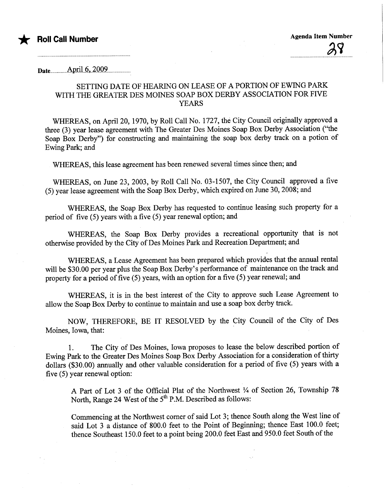

Date. ..............Ami.L6....2.'OQ.9.......................

## SETTING DATE OF HEARING ON LEASE OF A PORTION OF EWING PARK WITH THE GREATER DES MOINES SOAP BOX DERBY ASSOCIATION FOR FIVE YEARS

WHEREAS, on April 20, 1970, by Roll Call No. 1727, the City Council originally approved a three (3) year lease agreement with The Greater Des Moines Soap Box Derby Association ("the Soap Box Derby") for constructing and maintaining the soap box derby track on a potion of Ewing Park; and

WHEREAS, this lease agreement has been renewed several times since then; and

WHEREAS, on June 23, 2003, by Roll Call No. 03-1S07, the City Council approved a five (S) year lease agreement with the Soap Box Derby, which expired on June 30, 2008; and

WHEREAS, the Soap Box Derby has requested to continue leasing such property for a period of five (S) years with a five (S) year renewal option; and

WHEREAS, the Soap Box Derby provides a recreational opportunity that is not otherwise provided by the City of Des Moines Park and Recreation Department; and

WHEREAS, a Lease Agreement has been prepared which provides that the anual rental will be \$30.00 per year plus the Soap Box Derby's performance of maintenance on the track and property for a period of five (S) years, with an option for a five (S) year renewal; and

WHEREAS, it is in the best interest of the City to approve such Lease Agreement to allow the Soap Box Derby to continue to maintain and use a soap box derby track.

NOW, THEREFORE, BE IT RESOLVED by the City Council of the City of Des Moines, Iowa, that:

1. The City of Des Moines, Iowa proposes to lease the below described portion of Ewing Park to the Greater Des Moines Soap Box Derby Association for a consideration of thrty dollars (\$30.00) anually and other valuable consideration for a period of five (S) years with a five (S) year renewal option:

A Part of Lot 3 of the Official Plat of the Northwest  $\frac{1}{4}$  of Section 26, Township 78 North, Range 24 West of the 5<sup>th</sup> P.M. Described as follows:

Commencing at the Northwest corner of said Lot 3; thence South along the West line of said Lot 3 a distance of 800.0 feet to the Point of Beginning; thence East 100.0 feet; thence Southeast 150.0 feet to a point being 200.0 feet East and 950.0 feet South of the